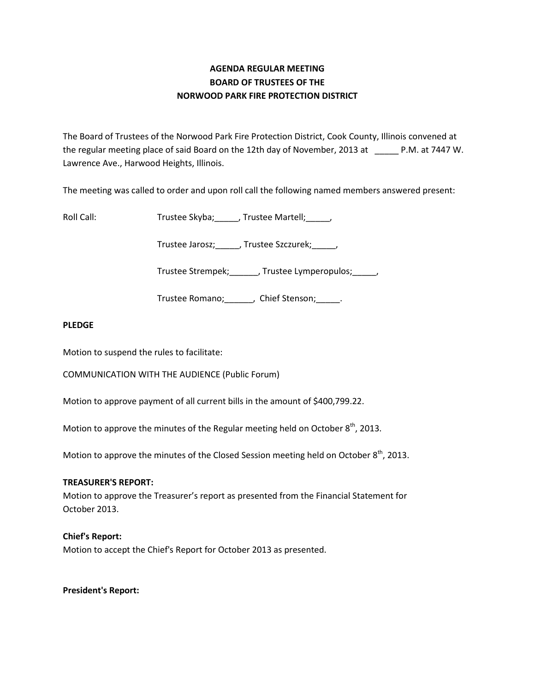# **AGENDA REGULAR MEETING BOARD OF TRUSTEES OF THE NORWOOD PARK FIRE PROTECTION DISTRICT**

The Board of Trustees of the Norwood Park Fire Protection District, Cook County, Illinois convened at the regular meeting place of said Board on the 12th day of November, 2013 at P.M. at 7447 W. Lawrence Ave., Harwood Heights, Illinois.

The meeting was called to order and upon roll call the following named members answered present:

Roll Call: Trustee Skyba; Journalist Call: Trustee Skyba; Journalist Call: Trustee Martell;

Trustee Jarosz;\_\_\_\_\_, Trustee Szczurek;\_\_\_\_\_,

Trustee Strempek;\_\_\_\_\_\_, Trustee Lymperopulos;\_\_\_\_\_,

Trustee Romano; Chief Stenson; Fig. 2.

## **PLEDGE**

Motion to suspend the rules to facilitate:

COMMUNICATION WITH THE AUDIENCE (Public Forum)

Motion to approve payment of all current bills in the amount of \$400,799.22.

Motion to approve the minutes of the Regular meeting held on October  $8<sup>th</sup>$ , 2013.

Motion to approve the minutes of the Closed Session meeting held on October  $8<sup>th</sup>$ , 2013.

#### **TREASURER'S REPORT:**

Motion to approve the Treasurer's report as presented from the Financial Statement for October 2013.

## **Chief's Report:**

Motion to accept the Chief's Report for October 2013 as presented.

#### **President's Report:**